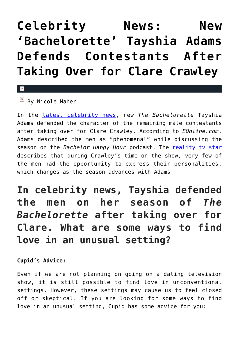## **[Celebrity News: New](https://cupidspulse.com/136259/celebrity-news-bachelorette-tayshia-adams-defends-contestants-clare-crawley/) ['Bachelorette' Tayshia Adams](https://cupidspulse.com/136259/celebrity-news-bachelorette-tayshia-adams-defends-contestants-clare-crawley/) [Defends Contestants After](https://cupidspulse.com/136259/celebrity-news-bachelorette-tayshia-adams-defends-contestants-clare-crawley/) [Taking Over for Clare Crawley](https://cupidspulse.com/136259/celebrity-news-bachelorette-tayshia-adams-defends-contestants-clare-crawley/)**

## $\mathbf{x}$

 $\mathbb{F}$  By Nicole Maher

In the [latest celebrity news](http://cupidspulse.com/celebrity-news/), new *The Bachelorette* Tayshia Adams defended the character of the remaining male contestants after taking over for Clare Crawley. According to *EOnline.com*, Adams described the men as "phenomenal" while discussing the season on the *Bachelor Happy Hour* podcast. The **reality ty star** describes that during Crawley's time on the show, very few of the men had the opportunity to express their personalities, which changes as the season advances with Adams.

## **In celebrity news, Tayshia defended the men on her season of** *The Bachelorette* **after taking over for Clare. What are some ways to find love in an unusual setting?**

## **Cupid's Advice:**

Even if we are not planning on going on a dating television show, it is still possible to find love in unconventional settings. However, these settings may cause us to feel closed off or skeptical. If you are looking for some ways to find love in an unusual setting, Cupid has some advice for you: